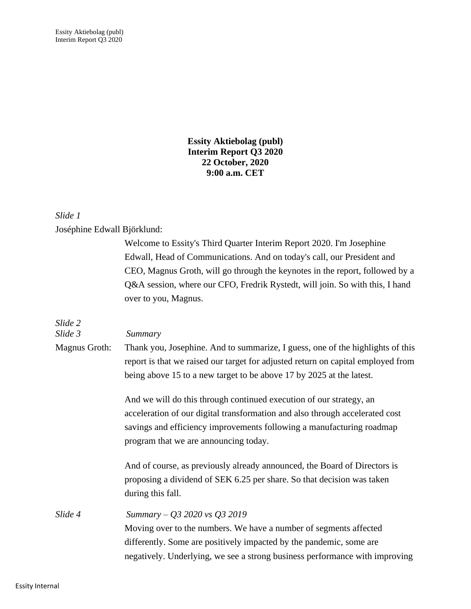**Essity Aktiebolag (publ) Interim Report Q3 2020 22 October, 2020 9:00 a.m. CET**

#### *Slide 1*

Joséphine Edwall Björklund:

|                    | Welcome to Essity's Third Quarter Interim Report 2020. I'm Josephine                                                                                                                                                                                                  |
|--------------------|-----------------------------------------------------------------------------------------------------------------------------------------------------------------------------------------------------------------------------------------------------------------------|
|                    | Edwall, Head of Communications. And on today's call, our President and                                                                                                                                                                                                |
|                    | CEO, Magnus Groth, will go through the keynotes in the report, followed by a                                                                                                                                                                                          |
|                    | Q&A session, where our CFO, Fredrik Rystedt, will join. So with this, I hand<br>over to you, Magnus.                                                                                                                                                                  |
|                    |                                                                                                                                                                                                                                                                       |
| Slide 2<br>Slide 3 | Summary                                                                                                                                                                                                                                                               |
| Magnus Groth:      | Thank you, Josephine. And to summarize, I guess, one of the highlights of this<br>report is that we raised our target for adjusted return on capital employed from<br>being above 15 to a new target to be above 17 by 2025 at the latest.                            |
|                    | And we will do this through continued execution of our strategy, an<br>acceleration of our digital transformation and also through accelerated cost<br>savings and efficiency improvements following a manufacturing roadmap<br>program that we are announcing today. |
|                    | And of course, as previously already announced, the Board of Directors is<br>proposing a dividend of SEK 6.25 per share. So that decision was taken<br>during this fall.                                                                                              |
| Slide 4            | Summary - Q3 2020 vs Q3 2019<br>Moving over to the numbers. We have a number of segments affected<br>differently. Some are positively impacted by the pandemic, some are<br>negatively. Underlying, we see a strong business performance with improving               |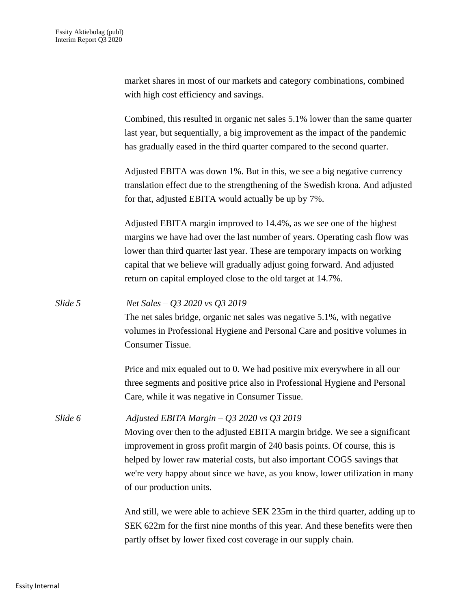| market shares in most of our markets and category combinations, combined |  |
|--------------------------------------------------------------------------|--|
| with high cost efficiency and savings.                                   |  |

Combined, this resulted in organic net sales 5.1% lower than the same quarter last year, but sequentially, a big improvement as the impact of the pandemic has gradually eased in the third quarter compared to the second quarter.

Adjusted EBITA was down 1%. But in this, we see a big negative currency translation effect due to the strengthening of the Swedish krona. And adjusted for that, adjusted EBITA would actually be up by 7%.

Adjusted EBITA margin improved to 14.4%, as we see one of the highest margins we have had over the last number of years. Operating cash flow was lower than third quarter last year. These are temporary impacts on working capital that we believe will gradually adjust going forward. And adjusted return on capital employed close to the old target at 14.7%.

*Slide 5 Net Sales – Q3 2020 vs Q3 2019* The net sales bridge, organic net sales was negative 5.1%, with negative volumes in Professional Hygiene and Personal Care and positive volumes in Consumer Tissue.

> Price and mix equaled out to 0. We had positive mix everywhere in all our three segments and positive price also in Professional Hygiene and Personal Care, while it was negative in Consumer Tissue.

*Slide 6 Adjusted EBITA Margin – Q3 2020 vs Q3 2019* Moving over then to the adjusted EBITA margin bridge. We see a significant improvement in gross profit margin of 240 basis points. Of course, this is helped by lower raw material costs, but also important COGS savings that we're very happy about since we have, as you know, lower utilization in many of our production units.

> And still, we were able to achieve SEK 235m in the third quarter, adding up to SEK 622m for the first nine months of this year. And these benefits were then partly offset by lower fixed cost coverage in our supply chain.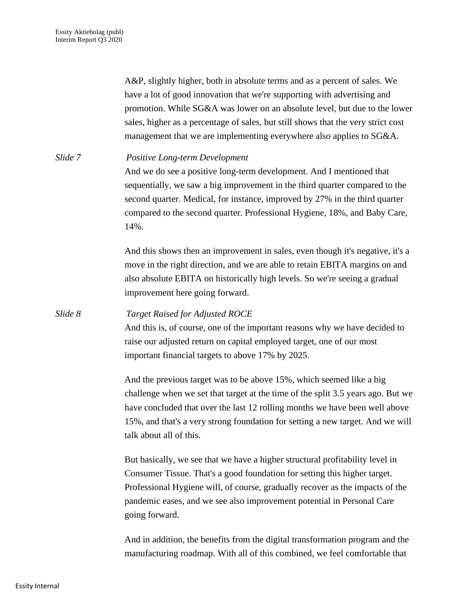A&P, slightly higher, both in absolute terms and as a percent of sales. We have a lot of good innovation that we're supporting with advertising and promotion. While SG&A was lower on an absolute level, but due to the lower sales, higher as a percentage of sales, but still shows that the very strict cost management that we are implementing everywhere also applies to SG&A.

*Slide 7 Positive Long-term Development* And we do see a positive long-term development. And I mentioned that sequentially, we saw a big improvement in the third quarter compared to the second quarter. Medical, for instance, improved by 27% in the third quarter compared to the second quarter. Professional Hygiene, 18%, and Baby Care, 14%.

> And this shows then an improvement in sales, even though it's negative, it's a move in the right direction, and we are able to retain EBITA margins on and also absolute EBITA on historically high levels. So we're seeing a gradual improvement here going forward.

*Slide 8 Target Raised for Adjusted ROCE* And this is, of course, one of the important reasons why we have decided to raise our adjusted return on capital employed target, one of our most important financial targets to above 17% by 2025.

> And the previous target was to be above 15%, which seemed like a big challenge when we set that target at the time of the split 3.5 years ago. But we have concluded that over the last 12 rolling months we have been well above 15%, and that's a very strong foundation for setting a new target. And we will talk about all of this.

But basically, we see that we have a higher structural profitability level in Consumer Tissue. That's a good foundation for setting this higher target. Professional Hygiene will, of course, gradually recover as the impacts of the pandemic eases, and we see also improvement potential in Personal Care going forward.

And in addition, the benefits from the digital transformation program and the manufacturing roadmap. With all of this combined, we feel comfortable that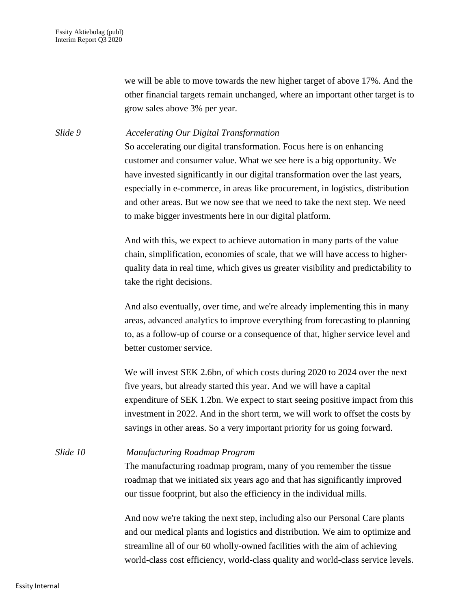we will be able to move towards the new higher target of above 17%. And the other financial targets remain unchanged, where an important other target is to grow sales above 3% per year.

*Slide 9 Accelerating Our Digital Transformation*

So accelerating our digital transformation. Focus here is on enhancing customer and consumer value. What we see here is a big opportunity. We have invested significantly in our digital transformation over the last years, especially in e-commerce, in areas like procurement, in logistics, distribution and other areas. But we now see that we need to take the next step. We need to make bigger investments here in our digital platform.

And with this, we expect to achieve automation in many parts of the value chain, simplification, economies of scale, that we will have access to higherquality data in real time, which gives us greater visibility and predictability to take the right decisions.

And also eventually, over time, and we're already implementing this in many areas, advanced analytics to improve everything from forecasting to planning to, as a follow-up of course or a consequence of that, higher service level and better customer service.

We will invest SEK 2.6bn, of which costs during 2020 to 2024 over the next five years, but already started this year. And we will have a capital expenditure of SEK 1.2bn. We expect to start seeing positive impact from this investment in 2022. And in the short term, we will work to offset the costs by savings in other areas. So a very important priority for us going forward.

*Slide 10 Manufacturing Roadmap Program* The manufacturing roadmap program, many of you remember the tissue roadmap that we initiated six years ago and that has significantly improved our tissue footprint, but also the efficiency in the individual mills.

> And now we're taking the next step, including also our Personal Care plants and our medical plants and logistics and distribution. We aim to optimize and streamline all of our 60 wholly-owned facilities with the aim of achieving world-class cost efficiency, world-class quality and world-class service levels.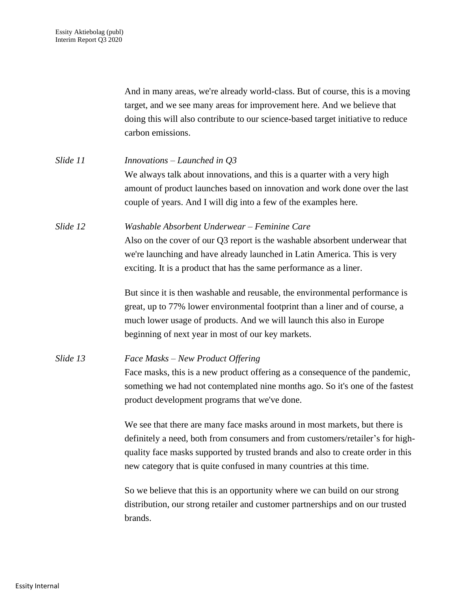And in many areas, we're already world-class. But of course, this is a moving target, and we see many areas for improvement here. And we believe that doing this will also contribute to our science-based target initiative to reduce carbon emissions.

| Slide 11 | <i>Innovations – Launched in <math>Q3</math></i>                           |
|----------|----------------------------------------------------------------------------|
|          | We always talk about innovations, and this is a quarter with a very high   |
|          | amount of product launches based on innovation and work done over the last |
|          | couple of years. And I will dig into a few of the examples here.           |
|          |                                                                            |

*Slide 12 Washable Absorbent Underwear – Feminine Care* Also on the cover of our Q3 report is the washable absorbent underwear that we're launching and have already launched in Latin America. This is very exciting. It is a product that has the same performance as a liner.

> But since it is then washable and reusable, the environmental performance is great, up to 77% lower environmental footprint than a liner and of course, a much lower usage of products. And we will launch this also in Europe beginning of next year in most of our key markets.

### *Slide 13 Face Masks – New Product Offering*

Face masks, this is a new product offering as a consequence of the pandemic, something we had not contemplated nine months ago. So it's one of the fastest product development programs that we've done.

We see that there are many face masks around in most markets, but there is definitely a need, both from consumers and from customers/retailer's for highquality face masks supported by trusted brands and also to create order in this new category that is quite confused in many countries at this time.

So we believe that this is an opportunity where we can build on our strong distribution, our strong retailer and customer partnerships and on our trusted brands.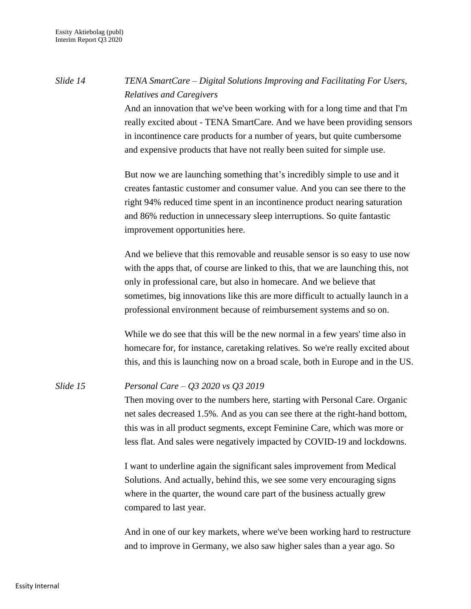# *Slide 14 TENA SmartCare – Digital Solutions Improving and Facilitating For Users, Relatives and Caregivers*

And an innovation that we've been working with for a long time and that I'm really excited about - TENA SmartCare. And we have been providing sensors in incontinence care products for a number of years, but quite cumbersome and expensive products that have not really been suited for simple use.

But now we are launching something that's incredibly simple to use and it creates fantastic customer and consumer value. And you can see there to the right 94% reduced time spent in an incontinence product nearing saturation and 86% reduction in unnecessary sleep interruptions. So quite fantastic improvement opportunities here.

And we believe that this removable and reusable sensor is so easy to use now with the apps that, of course are linked to this, that we are launching this, not only in professional care, but also in homecare. And we believe that sometimes, big innovations like this are more difficult to actually launch in a professional environment because of reimbursement systems and so on.

While we do see that this will be the new normal in a few years' time also in homecare for, for instance, caretaking relatives. So we're really excited about this, and this is launching now on a broad scale, both in Europe and in the US.

### *Slide 15 Personal Care – Q3 2020 vs Q3 2019*

Then moving over to the numbers here, starting with Personal Care. Organic net sales decreased 1.5%. And as you can see there at the right-hand bottom, this was in all product segments, except Feminine Care, which was more or less flat. And sales were negatively impacted by COVID-19 and lockdowns.

I want to underline again the significant sales improvement from Medical Solutions. And actually, behind this, we see some very encouraging signs where in the quarter, the wound care part of the business actually grew compared to last year.

And in one of our key markets, where we've been working hard to restructure and to improve in Germany, we also saw higher sales than a year ago. So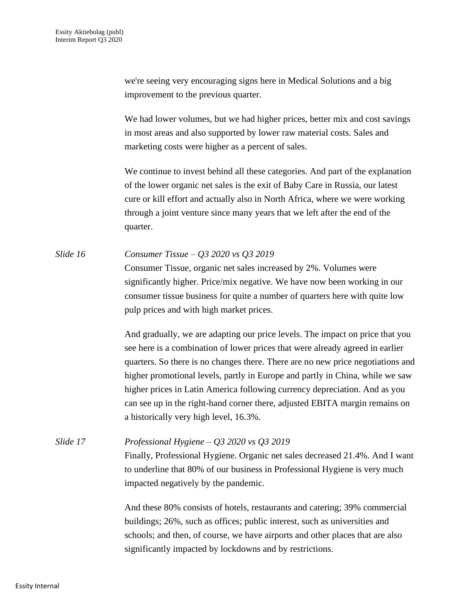we're seeing very encouraging signs here in Medical Solutions and a big improvement to the previous quarter.

We had lower volumes, but we had higher prices, better mix and cost savings in most areas and also supported by lower raw material costs. Sales and marketing costs were higher as a percent of sales.

We continue to invest behind all these categories. And part of the explanation of the lower organic net sales is the exit of Baby Care in Russia, our latest cure or kill effort and actually also in North Africa, where we were working through a joint venture since many years that we left after the end of the quarter.

*Slide 16 Consumer Tissue – Q3 2020 vs Q3 2019* Consumer Tissue, organic net sales increased by 2%. Volumes were significantly higher. Price/mix negative. We have now been working in our consumer tissue business for quite a number of quarters here with quite low

pulp prices and with high market prices.

And gradually, we are adapting our price levels. The impact on price that you see here is a combination of lower prices that were already agreed in earlier quarters. So there is no changes there. There are no new price negotiations and higher promotional levels, partly in Europe and partly in China, while we saw higher prices in Latin America following currency depreciation. And as you can see up in the right-hand corner there, adjusted EBITA margin remains on a historically very high level, 16.3%.

*Slide 17 Professional Hygiene – Q3 2020 vs Q3 2019* Finally, Professional Hygiene. Organic net sales decreased 21.4%. And I want to underline that 80% of our business in Professional Hygiene is very much impacted negatively by the pandemic.

> And these 80% consists of hotels, restaurants and catering; 39% commercial buildings; 26%, such as offices; public interest, such as universities and schools; and then, of course, we have airports and other places that are also significantly impacted by lockdowns and by restrictions.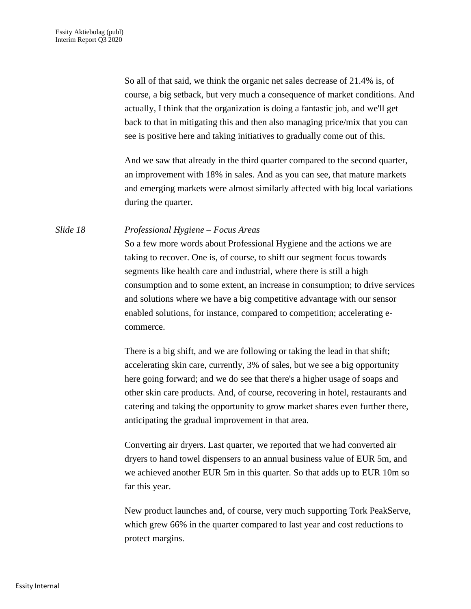So all of that said, we think the organic net sales decrease of 21.4% is, of course, a big setback, but very much a consequence of market conditions. And actually, I think that the organization is doing a fantastic job, and we'll get back to that in mitigating this and then also managing price/mix that you can see is positive here and taking initiatives to gradually come out of this.

And we saw that already in the third quarter compared to the second quarter, an improvement with 18% in sales. And as you can see, that mature markets and emerging markets were almost similarly affected with big local variations during the quarter.

#### *Slide 18 Professional Hygiene – Focus Areas*

So a few more words about Professional Hygiene and the actions we are taking to recover. One is, of course, to shift our segment focus towards segments like health care and industrial, where there is still a high consumption and to some extent, an increase in consumption; to drive services and solutions where we have a big competitive advantage with our sensor enabled solutions, for instance, compared to competition; accelerating ecommerce.

There is a big shift, and we are following or taking the lead in that shift; accelerating skin care, currently, 3% of sales, but we see a big opportunity here going forward; and we do see that there's a higher usage of soaps and other skin care products. And, of course, recovering in hotel, restaurants and catering and taking the opportunity to grow market shares even further there, anticipating the gradual improvement in that area.

Converting air dryers. Last quarter, we reported that we had converted air dryers to hand towel dispensers to an annual business value of EUR 5m, and we achieved another EUR 5m in this quarter. So that adds up to EUR 10m so far this year.

New product launches and, of course, very much supporting Tork PeakServe, which grew 66% in the quarter compared to last year and cost reductions to protect margins.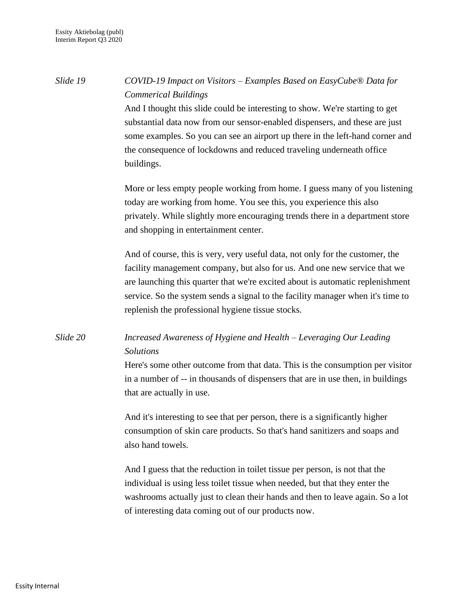*Slide 19 COVID-19 Impact on Visitors – Examples Based on EasyCube® Data for Commerical Buildings* And I thought this slide could be interesting to show. We're starting to get substantial data now from our sensor-enabled dispensers, and these are just some examples. So you can see an airport up there in the left-hand corner and the consequence of lockdowns and reduced traveling underneath office buildings. More or less empty people working from home. I guess many of you listening today are working from home. You see this, you experience this also privately. While slightly more encouraging trends there in a department store and shopping in entertainment center.

> And of course, this is very, very useful data, not only for the customer, the facility management company, but also for us. And one new service that we are launching this quarter that we're excited about is automatic replenishment service. So the system sends a signal to the facility manager when it's time to replenish the professional hygiene tissue stocks.

## *Slide 20 Increased Awareness of Hygiene and Health – Leveraging Our Leading Solutions*

Here's some other outcome from that data. This is the consumption per visitor in a number of -- in thousands of dispensers that are in use then, in buildings that are actually in use.

And it's interesting to see that per person, there is a significantly higher consumption of skin care products. So that's hand sanitizers and soaps and also hand towels.

And I guess that the reduction in toilet tissue per person, is not that the individual is using less toilet tissue when needed, but that they enter the washrooms actually just to clean their hands and then to leave again. So a lot of interesting data coming out of our products now.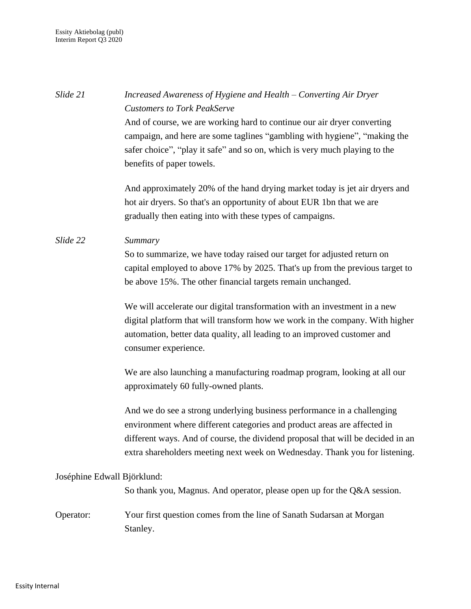*Slide 21 Increased Awareness of Hygiene and Health – Converting Air Dryer Customers to Tork PeakServe* And of course, we are working hard to continue our air dryer converting campaign, and here are some taglines "gambling with hygiene", "making the safer choice", "play it safe" and so on, which is very much playing to the benefits of paper towels. And approximately 20% of the hand drying market today is jet air dryers and hot air dryers. So that's an opportunity of about EUR 1bn that we are gradually then eating into with these types of campaigns. *Slide 22 Summary* So to summarize, we have today raised our target for adjusted return on capital employed to above 17% by 2025. That's up from the previous target to be above 15%. The other financial targets remain unchanged. We will accelerate our digital transformation with an investment in a new digital platform that will transform how we work in the company. With higher automation, better data quality, all leading to an improved customer and consumer experience. We are also launching a manufacturing roadmap program, looking at all our approximately 60 fully-owned plants. And we do see a strong underlying business performance in a challenging environment where different categories and product areas are affected in different ways. And of course, the dividend proposal that will be decided in an extra shareholders meeting next week on Wednesday. Thank you for listening. Joséphine Edwall Björklund: So thank you, Magnus. And operator, please open up for the Q&A session. Operator: Your first question comes from the line of Sanath Sudarsan at Morgan Stanley.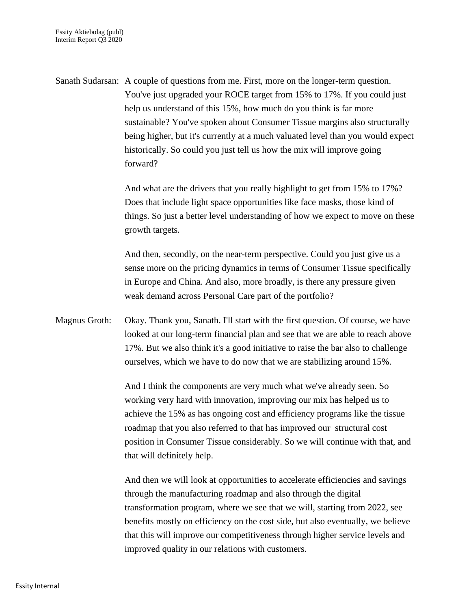Sanath Sudarsan: A couple of questions from me. First, more on the longer-term question. You've just upgraded your ROCE target from 15% to 17%. If you could just help us understand of this 15%, how much do you think is far more sustainable? You've spoken about Consumer Tissue margins also structurally being higher, but it's currently at a much valuated level than you would expect historically. So could you just tell us how the mix will improve going forward?

> And what are the drivers that you really highlight to get from 15% to 17%? Does that include light space opportunities like face masks, those kind of things. So just a better level understanding of how we expect to move on these growth targets.

And then, secondly, on the near-term perspective. Could you just give us a sense more on the pricing dynamics in terms of Consumer Tissue specifically in Europe and China. And also, more broadly, is there any pressure given weak demand across Personal Care part of the portfolio?

Magnus Groth: Okay. Thank you, Sanath. I'll start with the first question. Of course, we have looked at our long-term financial plan and see that we are able to reach above 17%. But we also think it's a good initiative to raise the bar also to challenge ourselves, which we have to do now that we are stabilizing around 15%.

> And I think the components are very much what we've already seen. So working very hard with innovation, improving our mix has helped us to achieve the 15% as has ongoing cost and efficiency programs like the tissue roadmap that you also referred to that has improved our structural cost position in Consumer Tissue considerably. So we will continue with that, and that will definitely help.

> And then we will look at opportunities to accelerate efficiencies and savings through the manufacturing roadmap and also through the digital transformation program, where we see that we will, starting from 2022, see benefits mostly on efficiency on the cost side, but also eventually, we believe that this will improve our competitiveness through higher service levels and improved quality in our relations with customers.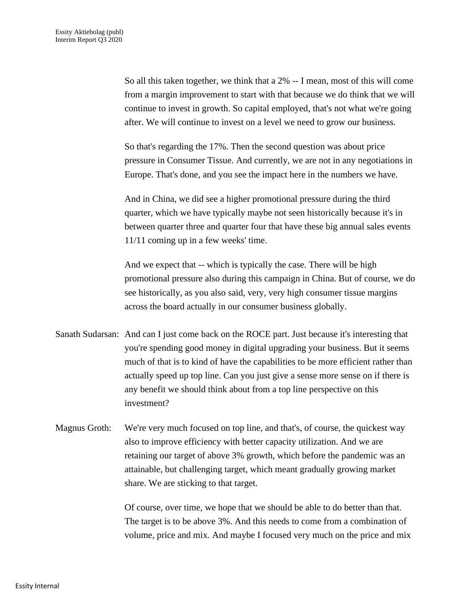So all this taken together, we think that a 2% -- I mean, most of this will come from a margin improvement to start with that because we do think that we will continue to invest in growth. So capital employed, that's not what we're going after. We will continue to invest on a level we need to grow our business.

So that's regarding the 17%. Then the second question was about price pressure in Consumer Tissue. And currently, we are not in any negotiations in Europe. That's done, and you see the impact here in the numbers we have.

And in China, we did see a higher promotional pressure during the third quarter, which we have typically maybe not seen historically because it's in between quarter three and quarter four that have these big annual sales events 11/11 coming up in a few weeks' time.

And we expect that -- which is typically the case. There will be high promotional pressure also during this campaign in China. But of course, we do see historically, as you also said, very, very high consumer tissue margins across the board actually in our consumer business globally.

- Sanath Sudarsan: And can I just come back on the ROCE part. Just because it's interesting that you're spending good money in digital upgrading your business. But it seems much of that is to kind of have the capabilities to be more efficient rather than actually speed up top line. Can you just give a sense more sense on if there is any benefit we should think about from a top line perspective on this investment?
- Magnus Groth: We're very much focused on top line, and that's, of course, the quickest way also to improve efficiency with better capacity utilization. And we are retaining our target of above 3% growth, which before the pandemic was an attainable, but challenging target, which meant gradually growing market share. We are sticking to that target.

Of course, over time, we hope that we should be able to do better than that. The target is to be above 3%. And this needs to come from a combination of volume, price and mix. And maybe I focused very much on the price and mix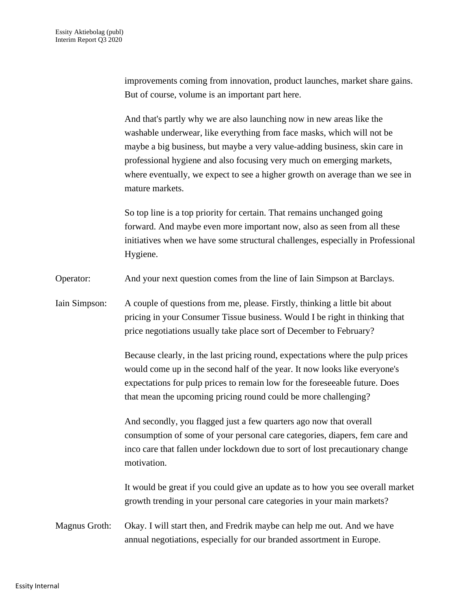improvements coming from innovation, product launches, market share gains. But of course, volume is an important part here.

And that's partly why we are also launching now in new areas like the washable underwear, like everything from face masks, which will not be maybe a big business, but maybe a very value-adding business, skin care in professional hygiene and also focusing very much on emerging markets, where eventually, we expect to see a higher growth on average than we see in mature markets.

So top line is a top priority for certain. That remains unchanged going forward. And maybe even more important now, also as seen from all these initiatives when we have some structural challenges, especially in Professional Hygiene.

Operator: And your next question comes from the line of Iain Simpson at Barclays.

Iain Simpson: A couple of questions from me, please. Firstly, thinking a little bit about pricing in your Consumer Tissue business. Would I be right in thinking that price negotiations usually take place sort of December to February?

> Because clearly, in the last pricing round, expectations where the pulp prices would come up in the second half of the year. It now looks like everyone's expectations for pulp prices to remain low for the foreseeable future. Does that mean the upcoming pricing round could be more challenging?

> And secondly, you flagged just a few quarters ago now that overall consumption of some of your personal care categories, diapers, fem care and inco care that fallen under lockdown due to sort of lost precautionary change motivation.

It would be great if you could give an update as to how you see overall market growth trending in your personal care categories in your main markets?

Magnus Groth: Okay. I will start then, and Fredrik maybe can help me out. And we have annual negotiations, especially for our branded assortment in Europe.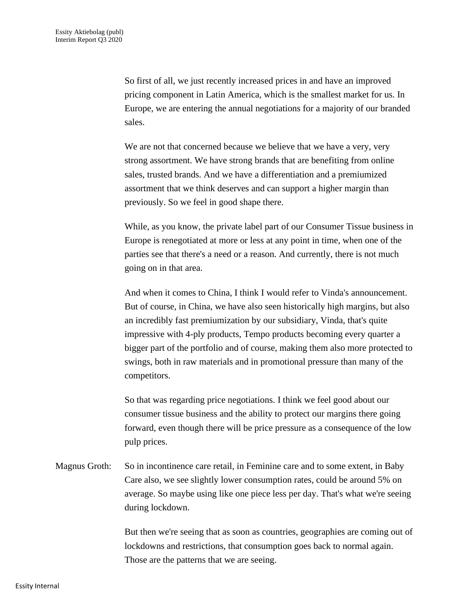So first of all, we just recently increased prices in and have an improved pricing component in Latin America, which is the smallest market for us. In Europe, we are entering the annual negotiations for a majority of our branded sales.

We are not that concerned because we believe that we have a very, very strong assortment. We have strong brands that are benefiting from online sales, trusted brands. And we have a differentiation and a premiumized assortment that we think deserves and can support a higher margin than previously. So we feel in good shape there.

While, as you know, the private label part of our Consumer Tissue business in Europe is renegotiated at more or less at any point in time, when one of the parties see that there's a need or a reason. And currently, there is not much going on in that area.

And when it comes to China, I think I would refer to Vinda's announcement. But of course, in China, we have also seen historically high margins, but also an incredibly fast premiumization by our subsidiary, Vinda, that's quite impressive with 4-ply products, Tempo products becoming every quarter a bigger part of the portfolio and of course, making them also more protected to swings, both in raw materials and in promotional pressure than many of the competitors.

So that was regarding price negotiations. I think we feel good about our consumer tissue business and the ability to protect our margins there going forward, even though there will be price pressure as a consequence of the low pulp prices.

Magnus Groth: So in incontinence care retail, in Feminine care and to some extent, in Baby Care also, we see slightly lower consumption rates, could be around 5% on average. So maybe using like one piece less per day. That's what we're seeing during lockdown.

> But then we're seeing that as soon as countries, geographies are coming out of lockdowns and restrictions, that consumption goes back to normal again. Those are the patterns that we are seeing.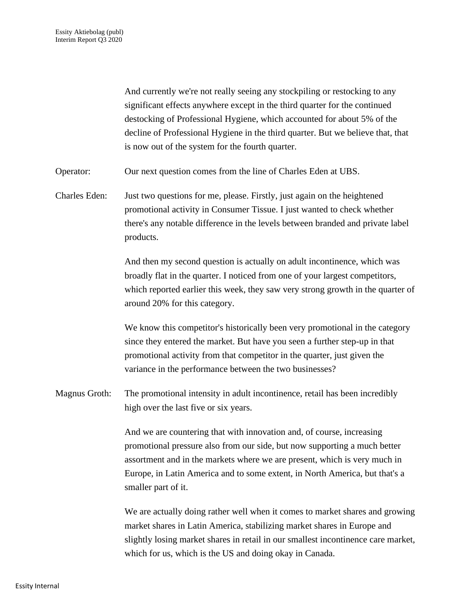And currently we're not really seeing any stockpiling or restocking to any significant effects anywhere except in the third quarter for the continued destocking of Professional Hygiene, which accounted for about 5% of the decline of Professional Hygiene in the third quarter. But we believe that, that is now out of the system for the fourth quarter.

Operator: Our next question comes from the line of Charles Eden at UBS.

Charles Eden: Just two questions for me, please. Firstly, just again on the heightened promotional activity in Consumer Tissue. I just wanted to check whether there's any notable difference in the levels between branded and private label products.

> And then my second question is actually on adult incontinence, which was broadly flat in the quarter. I noticed from one of your largest competitors, which reported earlier this week, they saw very strong growth in the quarter of around 20% for this category.

We know this competitor's historically been very promotional in the category since they entered the market. But have you seen a further step-up in that promotional activity from that competitor in the quarter, just given the variance in the performance between the two businesses?

Magnus Groth: The promotional intensity in adult incontinence, retail has been incredibly high over the last five or six years.

> And we are countering that with innovation and, of course, increasing promotional pressure also from our side, but now supporting a much better assortment and in the markets where we are present, which is very much in Europe, in Latin America and to some extent, in North America, but that's a smaller part of it.

We are actually doing rather well when it comes to market shares and growing market shares in Latin America, stabilizing market shares in Europe and slightly losing market shares in retail in our smallest incontinence care market, which for us, which is the US and doing okay in Canada.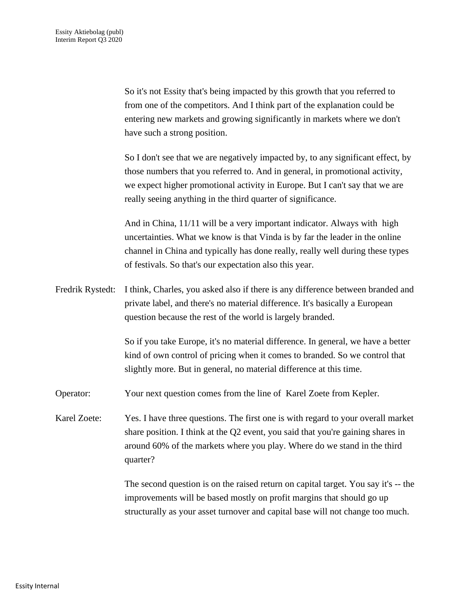So it's not Essity that's being impacted by this growth that you referred to from one of the competitors. And I think part of the explanation could be entering new markets and growing significantly in markets where we don't have such a strong position.

So I don't see that we are negatively impacted by, to any significant effect, by those numbers that you referred to. And in general, in promotional activity, we expect higher promotional activity in Europe. But I can't say that we are really seeing anything in the third quarter of significance.

And in China, 11/11 will be a very important indicator. Always with high uncertainties. What we know is that Vinda is by far the leader in the online channel in China and typically has done really, really well during these types of festivals. So that's our expectation also this year.

Fredrik Rystedt: I think, Charles, you asked also if there is any difference between branded and private label, and there's no material difference. It's basically a European question because the rest of the world is largely branded.

> So if you take Europe, it's no material difference. In general, we have a better kind of own control of pricing when it comes to branded. So we control that slightly more. But in general, no material difference at this time.

- Operator: Your next question comes from the line of Karel Zoete from Kepler.
- Karel Zoete: Yes. I have three questions. The first one is with regard to your overall market share position. I think at the Q2 event, you said that you're gaining shares in around 60% of the markets where you play. Where do we stand in the third quarter?

The second question is on the raised return on capital target. You say it's -- the improvements will be based mostly on profit margins that should go up structurally as your asset turnover and capital base will not change too much.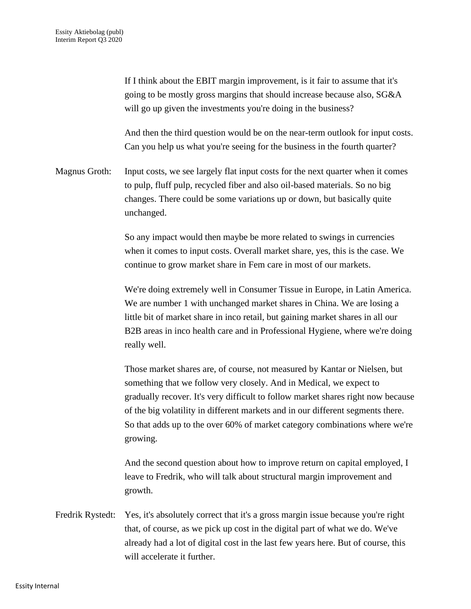If I think about the EBIT margin improvement, is it fair to assume that it's going to be mostly gross margins that should increase because also, SG&A will go up given the investments you're doing in the business? And then the third question would be on the near-term outlook for input costs. Can you help us what you're seeing for the business in the fourth quarter? Magnus Groth: Input costs, we see largely flat input costs for the next quarter when it comes to pulp, fluff pulp, recycled fiber and also oil-based materials. So no big changes. There could be some variations up or down, but basically quite unchanged. So any impact would then maybe be more related to swings in currencies when it comes to input costs. Overall market share, yes, this is the case. We continue to grow market share in Fem care in most of our markets. We're doing extremely well in Consumer Tissue in Europe, in Latin America. We are number 1 with unchanged market shares in China. We are losing a little bit of market share in inco retail, but gaining market shares in all our B2B areas in inco health care and in Professional Hygiene, where we're doing really well. Those market shares are, of course, not measured by Kantar or Nielsen, but something that we follow very closely. And in Medical, we expect to gradually recover. It's very difficult to follow market shares right now because of the big volatility in different markets and in our different segments there. So that adds up to the over 60% of market category combinations where we're growing. And the second question about how to improve return on capital employed, I leave to Fredrik, who will talk about structural margin improvement and growth.

Fredrik Rystedt: Yes, it's absolutely correct that it's a gross margin issue because you're right that, of course, as we pick up cost in the digital part of what we do. We've already had a lot of digital cost in the last few years here. But of course, this will accelerate it further.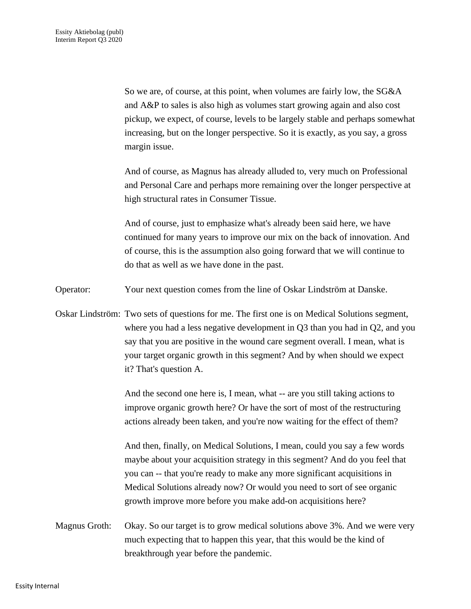So we are, of course, at this point, when volumes are fairly low, the SG&A and A&P to sales is also high as volumes start growing again and also cost pickup, we expect, of course, levels to be largely stable and perhaps somewhat increasing, but on the longer perspective. So it is exactly, as you say, a gross margin issue.

And of course, as Magnus has already alluded to, very much on Professional and Personal Care and perhaps more remaining over the longer perspective at high structural rates in Consumer Tissue.

And of course, just to emphasize what's already been said here, we have continued for many years to improve our mix on the back of innovation. And of course, this is the assumption also going forward that we will continue to do that as well as we have done in the past.

Operator: Your next question comes from the line of Oskar Lindström at Danske.

Oskar Lindström: Two sets of questions for me. The first one is on Medical Solutions segment, where you had a less negative development in Q3 than you had in Q2, and you say that you are positive in the wound care segment overall. I mean, what is your target organic growth in this segment? And by when should we expect it? That's question A.

> And the second one here is, I mean, what -- are you still taking actions to improve organic growth here? Or have the sort of most of the restructuring actions already been taken, and you're now waiting for the effect of them?

And then, finally, on Medical Solutions, I mean, could you say a few words maybe about your acquisition strategy in this segment? And do you feel that you can -- that you're ready to make any more significant acquisitions in Medical Solutions already now? Or would you need to sort of see organic growth improve more before you make add-on acquisitions here?

Magnus Groth: Okay. So our target is to grow medical solutions above 3%. And we were very much expecting that to happen this year, that this would be the kind of breakthrough year before the pandemic.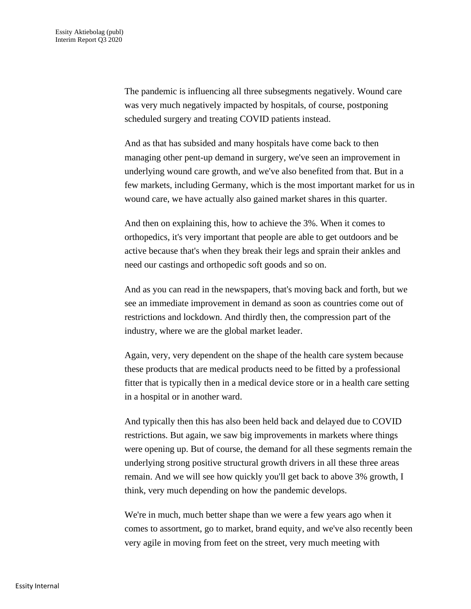The pandemic is influencing all three subsegments negatively. Wound care was very much negatively impacted by hospitals, of course, postponing scheduled surgery and treating COVID patients instead.

And as that has subsided and many hospitals have come back to then managing other pent-up demand in surgery, we've seen an improvement in underlying wound care growth, and we've also benefited from that. But in a few markets, including Germany, which is the most important market for us in wound care, we have actually also gained market shares in this quarter.

And then on explaining this, how to achieve the 3%. When it comes to orthopedics, it's very important that people are able to get outdoors and be active because that's when they break their legs and sprain their ankles and need our castings and orthopedic soft goods and so on.

And as you can read in the newspapers, that's moving back and forth, but we see an immediate improvement in demand as soon as countries come out of restrictions and lockdown. And thirdly then, the compression part of the industry, where we are the global market leader.

Again, very, very dependent on the shape of the health care system because these products that are medical products need to be fitted by a professional fitter that is typically then in a medical device store or in a health care setting in a hospital or in another ward.

And typically then this has also been held back and delayed due to COVID restrictions. But again, we saw big improvements in markets where things were opening up. But of course, the demand for all these segments remain the underlying strong positive structural growth drivers in all these three areas remain. And we will see how quickly you'll get back to above 3% growth, I think, very much depending on how the pandemic develops.

We're in much, much better shape than we were a few years ago when it comes to assortment, go to market, brand equity, and we've also recently been very agile in moving from feet on the street, very much meeting with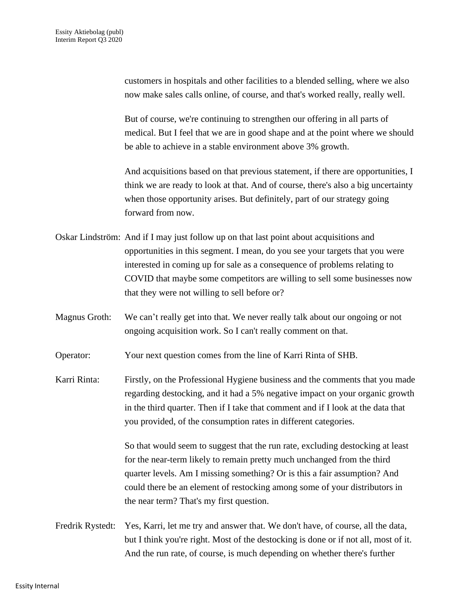customers in hospitals and other facilities to a blended selling, where we also now make sales calls online, of course, and that's worked really, really well.

But of course, we're continuing to strengthen our offering in all parts of medical. But I feel that we are in good shape and at the point where we should be able to achieve in a stable environment above 3% growth.

And acquisitions based on that previous statement, if there are opportunities, I think we are ready to look at that. And of course, there's also a big uncertainty when those opportunity arises. But definitely, part of our strategy going forward from now.

- Oskar Lindström: And if I may just follow up on that last point about acquisitions and opportunities in this segment. I mean, do you see your targets that you were interested in coming up for sale as a consequence of problems relating to COVID that maybe some competitors are willing to sell some businesses now that they were not willing to sell before or?
- Magnus Groth: We can't really get into that. We never really talk about our ongoing or not ongoing acquisition work. So I can't really comment on that.

Operator: Your next question comes from the line of Karri Rinta of SHB.

Karri Rinta: Firstly, on the Professional Hygiene business and the comments that you made regarding destocking, and it had a 5% negative impact on your organic growth in the third quarter. Then if I take that comment and if I look at the data that you provided, of the consumption rates in different categories.

> So that would seem to suggest that the run rate, excluding destocking at least for the near-term likely to remain pretty much unchanged from the third quarter levels. Am I missing something? Or is this a fair assumption? And could there be an element of restocking among some of your distributors in the near term? That's my first question.

Fredrik Rystedt: Yes, Karri, let me try and answer that. We don't have, of course, all the data, but I think you're right. Most of the destocking is done or if not all, most of it. And the run rate, of course, is much depending on whether there's further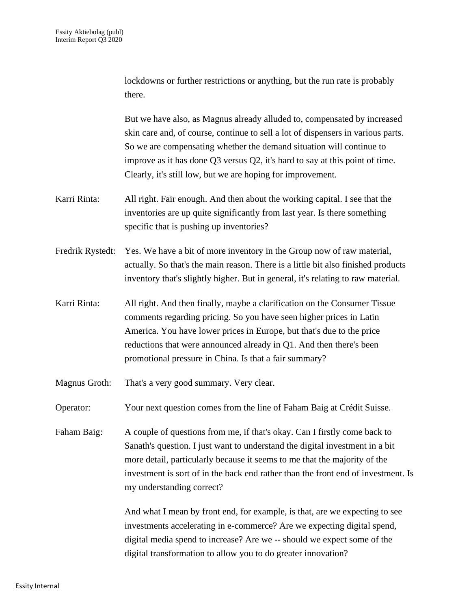|                  | lockdowns or further restrictions or anything, but the run rate is probably<br>there.                                                                                                                                                                                                                                                                                               |
|------------------|-------------------------------------------------------------------------------------------------------------------------------------------------------------------------------------------------------------------------------------------------------------------------------------------------------------------------------------------------------------------------------------|
|                  | But we have also, as Magnus already alluded to, compensated by increased<br>skin care and, of course, continue to sell a lot of dispensers in various parts.<br>So we are compensating whether the demand situation will continue to<br>improve as it has done Q3 versus Q2, it's hard to say at this point of time.<br>Clearly, it's still low, but we are hoping for improvement. |
| Karri Rinta:     | All right. Fair enough. And then about the working capital. I see that the<br>inventories are up quite significantly from last year. Is there something<br>specific that is pushing up inventories?                                                                                                                                                                                 |
| Fredrik Rystedt: | Yes. We have a bit of more inventory in the Group now of raw material,<br>actually. So that's the main reason. There is a little bit also finished products<br>inventory that's slightly higher. But in general, it's relating to raw material.                                                                                                                                     |
| Karri Rinta:     | All right. And then finally, maybe a clarification on the Consumer Tissue<br>comments regarding pricing. So you have seen higher prices in Latin<br>America. You have lower prices in Europe, but that's due to the price<br>reductions that were announced already in Q1. And then there's been<br>promotional pressure in China. Is that a fair summary?                          |
| Magnus Groth:    | That's a very good summary. Very clear.                                                                                                                                                                                                                                                                                                                                             |
| Operator:        | Your next question comes from the line of Faham Baig at Crédit Suisse.                                                                                                                                                                                                                                                                                                              |
| Faham Baig:      | A couple of questions from me, if that's okay. Can I firstly come back to<br>Sanath's question. I just want to understand the digital investment in a bit<br>more detail, particularly because it seems to me that the majority of the<br>investment is sort of in the back end rather than the front end of investment. Is<br>my understanding correct?                            |
|                  | And what I mean by front end, for example, is that, are we expecting to see<br>investments accelerating in e-commerce? Are we expecting digital spend,<br>digital media spend to increase? Are we -- should we expect some of the<br>digital transformation to allow you to do greater innovation?                                                                                  |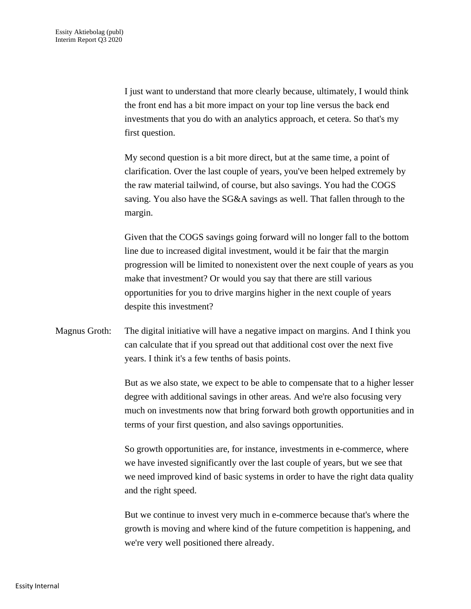I just want to understand that more clearly because, ultimately, I would think the front end has a bit more impact on your top line versus the back end investments that you do with an analytics approach, et cetera. So that's my first question.

My second question is a bit more direct, but at the same time, a point of clarification. Over the last couple of years, you've been helped extremely by the raw material tailwind, of course, but also savings. You had the COGS saving. You also have the SG&A savings as well. That fallen through to the margin.

Given that the COGS savings going forward will no longer fall to the bottom line due to increased digital investment, would it be fair that the margin progression will be limited to nonexistent over the next couple of years as you make that investment? Or would you say that there are still various opportunities for you to drive margins higher in the next couple of years despite this investment?

Magnus Groth: The digital initiative will have a negative impact on margins. And I think you can calculate that if you spread out that additional cost over the next five years. I think it's a few tenths of basis points.

> But as we also state, we expect to be able to compensate that to a higher lesser degree with additional savings in other areas. And we're also focusing very much on investments now that bring forward both growth opportunities and in terms of your first question, and also savings opportunities.

> So growth opportunities are, for instance, investments in e-commerce, where we have invested significantly over the last couple of years, but we see that we need improved kind of basic systems in order to have the right data quality and the right speed.

> But we continue to invest very much in e-commerce because that's where the growth is moving and where kind of the future competition is happening, and we're very well positioned there already.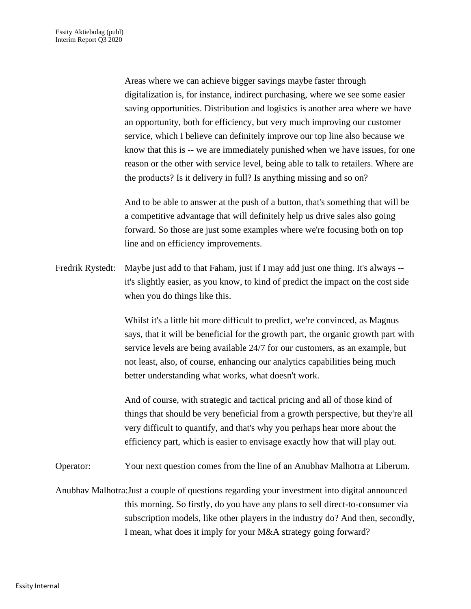Areas where we can achieve bigger savings maybe faster through digitalization is, for instance, indirect purchasing, where we see some easier saving opportunities. Distribution and logistics is another area where we have an opportunity, both for efficiency, but very much improving our customer service, which I believe can definitely improve our top line also because we know that this is -- we are immediately punished when we have issues, for one reason or the other with service level, being able to talk to retailers. Where are the products? Is it delivery in full? Is anything missing and so on?

And to be able to answer at the push of a button, that's something that will be a competitive advantage that will definitely help us drive sales also going forward. So those are just some examples where we're focusing both on top line and on efficiency improvements.

Fredrik Rystedt: Maybe just add to that Faham, just if I may add just one thing. It's always - it's slightly easier, as you know, to kind of predict the impact on the cost side when you do things like this.

> Whilst it's a little bit more difficult to predict, we're convinced, as Magnus says, that it will be beneficial for the growth part, the organic growth part with service levels are being available 24/7 for our customers, as an example, but not least, also, of course, enhancing our analytics capabilities being much better understanding what works, what doesn't work.

> And of course, with strategic and tactical pricing and all of those kind of things that should be very beneficial from a growth perspective, but they're all very difficult to quantify, and that's why you perhaps hear more about the efficiency part, which is easier to envisage exactly how that will play out.

Operator: Your next question comes from the line of an Anubhav Malhotra at Liberum.

Anubhav Malhotra:Just a couple of questions regarding your investment into digital announced this morning. So firstly, do you have any plans to sell direct-to-consumer via subscription models, like other players in the industry do? And then, secondly, I mean, what does it imply for your M&A strategy going forward?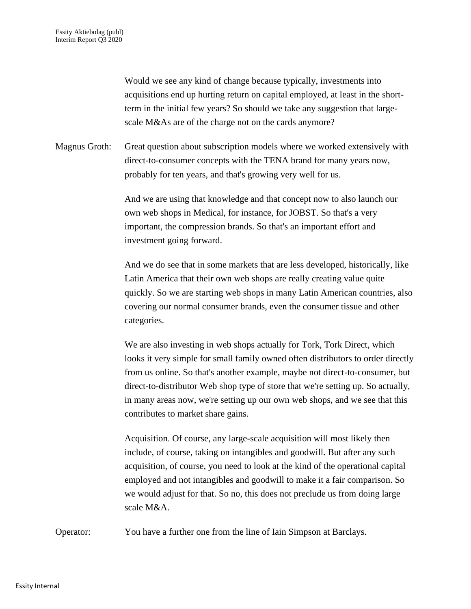Would we see any kind of change because typically, investments into acquisitions end up hurting return on capital employed, at least in the shortterm in the initial few years? So should we take any suggestion that largescale M&As are of the charge not on the cards anymore?

Magnus Groth: Great question about subscription models where we worked extensively with direct-to-consumer concepts with the TENA brand for many years now, probably for ten years, and that's growing very well for us.

> And we are using that knowledge and that concept now to also launch our own web shops in Medical, for instance, for JOBST. So that's a very important, the compression brands. So that's an important effort and investment going forward.

And we do see that in some markets that are less developed, historically, like Latin America that their own web shops are really creating value quite quickly. So we are starting web shops in many Latin American countries, also covering our normal consumer brands, even the consumer tissue and other categories.

We are also investing in web shops actually for Tork, Tork Direct, which looks it very simple for small family owned often distributors to order directly from us online. So that's another example, maybe not direct-to-consumer, but direct-to-distributor Web shop type of store that we're setting up. So actually, in many areas now, we're setting up our own web shops, and we see that this contributes to market share gains.

Acquisition. Of course, any large-scale acquisition will most likely then include, of course, taking on intangibles and goodwill. But after any such acquisition, of course, you need to look at the kind of the operational capital employed and not intangibles and goodwill to make it a fair comparison. So we would adjust for that. So no, this does not preclude us from doing large scale M&A.

Operator: You have a further one from the line of Iain Simpson at Barclays.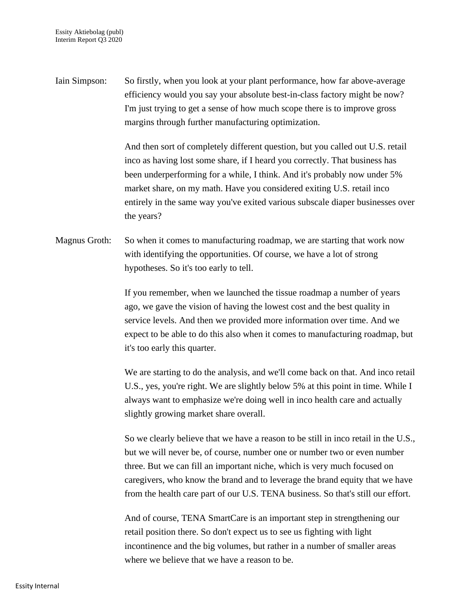Iain Simpson: So firstly, when you look at your plant performance, how far above-average efficiency would you say your absolute best-in-class factory might be now? I'm just trying to get a sense of how much scope there is to improve gross margins through further manufacturing optimization.

> And then sort of completely different question, but you called out U.S. retail inco as having lost some share, if I heard you correctly. That business has been underperforming for a while, I think. And it's probably now under 5% market share, on my math. Have you considered exiting U.S. retail inco entirely in the same way you've exited various subscale diaper businesses over the years?

Magnus Groth: So when it comes to manufacturing roadmap, we are starting that work now with identifying the opportunities. Of course, we have a lot of strong hypotheses. So it's too early to tell.

> If you remember, when we launched the tissue roadmap a number of years ago, we gave the vision of having the lowest cost and the best quality in service levels. And then we provided more information over time. And we expect to be able to do this also when it comes to manufacturing roadmap, but it's too early this quarter.

> We are starting to do the analysis, and we'll come back on that. And inco retail U.S., yes, you're right. We are slightly below 5% at this point in time. While I always want to emphasize we're doing well in inco health care and actually slightly growing market share overall.

> So we clearly believe that we have a reason to be still in inco retail in the U.S., but we will never be, of course, number one or number two or even number three. But we can fill an important niche, which is very much focused on caregivers, who know the brand and to leverage the brand equity that we have from the health care part of our U.S. TENA business. So that's still our effort.

And of course, TENA SmartCare is an important step in strengthening our retail position there. So don't expect us to see us fighting with light incontinence and the big volumes, but rather in a number of smaller areas where we believe that we have a reason to be.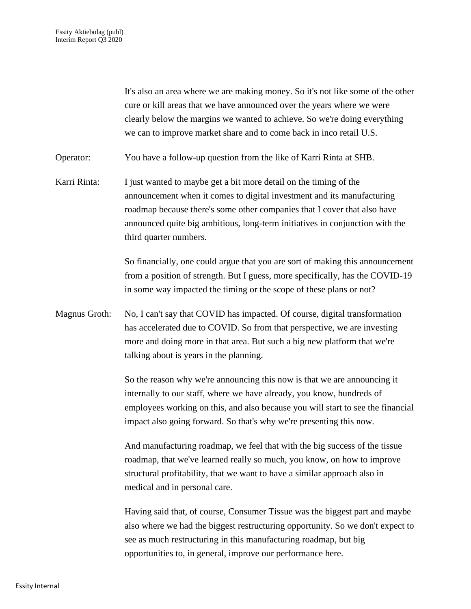It's also an area where we are making money. So it's not like some of the other cure or kill areas that we have announced over the years where we were clearly below the margins we wanted to achieve. So we're doing everything we can to improve market share and to come back in inco retail U.S.

Operator: You have a follow-up question from the like of Karri Rinta at SHB.

Karri Rinta: I just wanted to maybe get a bit more detail on the timing of the announcement when it comes to digital investment and its manufacturing roadmap because there's some other companies that I cover that also have announced quite big ambitious, long-term initiatives in conjunction with the third quarter numbers.

> So financially, one could argue that you are sort of making this announcement from a position of strength. But I guess, more specifically, has the COVID-19 in some way impacted the timing or the scope of these plans or not?

Magnus Groth: No, I can't say that COVID has impacted. Of course, digital transformation has accelerated due to COVID. So from that perspective, we are investing more and doing more in that area. But such a big new platform that we're talking about is years in the planning.

> So the reason why we're announcing this now is that we are announcing it internally to our staff, where we have already, you know, hundreds of employees working on this, and also because you will start to see the financial impact also going forward. So that's why we're presenting this now.

And manufacturing roadmap, we feel that with the big success of the tissue roadmap, that we've learned really so much, you know, on how to improve structural profitability, that we want to have a similar approach also in medical and in personal care.

Having said that, of course, Consumer Tissue was the biggest part and maybe also where we had the biggest restructuring opportunity. So we don't expect to see as much restructuring in this manufacturing roadmap, but big opportunities to, in general, improve our performance here.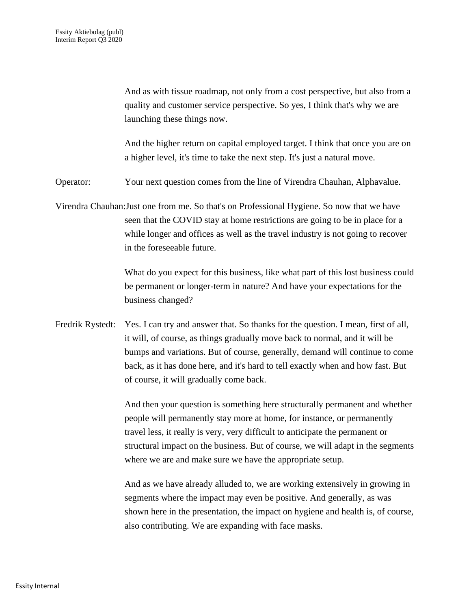And as with tissue roadmap, not only from a cost perspective, but also from a quality and customer service perspective. So yes, I think that's why we are launching these things now.

And the higher return on capital employed target. I think that once you are on a higher level, it's time to take the next step. It's just a natural move.

Operator: Your next question comes from the line of Virendra Chauhan, Alphavalue.

Virendra Chauhan:Just one from me. So that's on Professional Hygiene. So now that we have seen that the COVID stay at home restrictions are going to be in place for a while longer and offices as well as the travel industry is not going to recover in the foreseeable future.

> What do you expect for this business, like what part of this lost business could be permanent or longer-term in nature? And have your expectations for the business changed?

Fredrik Rystedt: Yes. I can try and answer that. So thanks for the question. I mean, first of all, it will, of course, as things gradually move back to normal, and it will be bumps and variations. But of course, generally, demand will continue to come back, as it has done here, and it's hard to tell exactly when and how fast. But of course, it will gradually come back.

> And then your question is something here structurally permanent and whether people will permanently stay more at home, for instance, or permanently travel less, it really is very, very difficult to anticipate the permanent or structural impact on the business. But of course, we will adapt in the segments where we are and make sure we have the appropriate setup.

> And as we have already alluded to, we are working extensively in growing in segments where the impact may even be positive. And generally, as was shown here in the presentation, the impact on hygiene and health is, of course, also contributing. We are expanding with face masks.